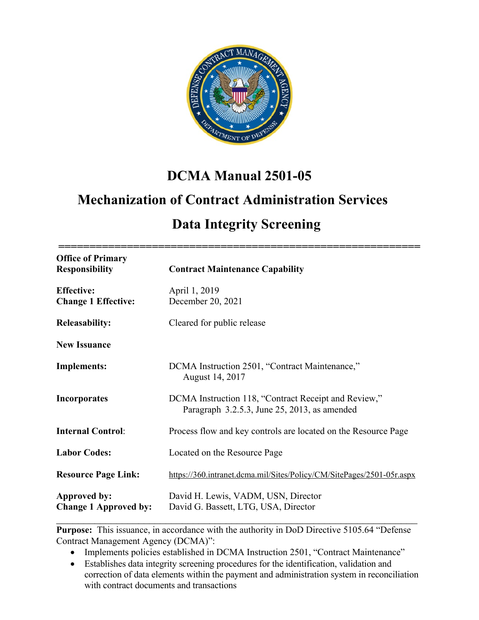

# **DCMA Manual 2501-05**

# **Mechanization of Contract Administration Services**

# **Data Integrity Screening**

| <b>Office of Primary</b>                        |                                                                                                      |
|-------------------------------------------------|------------------------------------------------------------------------------------------------------|
| <b>Responsibility</b>                           | <b>Contract Maintenance Capability</b>                                                               |
| <b>Effective:</b><br><b>Change 1 Effective:</b> | April 1, 2019<br>December 20, 2021                                                                   |
| <b>Releasability:</b>                           | Cleared for public release                                                                           |
| <b>New Issuance</b>                             |                                                                                                      |
| <b>Implements:</b>                              | DCMA Instruction 2501, "Contract Maintenance,"<br>August 14, 2017                                    |
| <b>Incorporates</b>                             | DCMA Instruction 118, "Contract Receipt and Review,"<br>Paragraph 3.2.5.3, June 25, 2013, as amended |
| <b>Internal Control:</b>                        | Process flow and key controls are located on the Resource Page                                       |
| <b>Labor Codes:</b>                             | Located on the Resource Page                                                                         |
| <b>Resource Page Link:</b>                      | https://360.intranet.dcma.mil/Sites/Policy/CM/SitePages/2501-05r.aspx                                |
| Approved by:<br><b>Change 1 Approved by:</b>    | David H. Lewis, VADM, USN, Director<br>David G. Bassett, LTG, USA, Director                          |

**Purpose:** This issuance, in accordance with the authority in DoD Directive 5105.64 "Defense" Contract Management Agency (DCMA)":

- Implements policies established in DCMA Instruction 2501, "Contract Maintenance"
- Establishes data integrity screening procedures for the identification, validation and correction of data elements within the payment and administration system in reconciliation with contract documents and transactions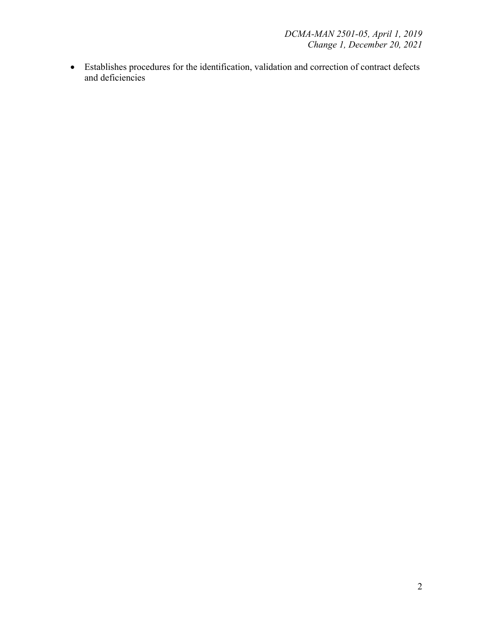• Establishes procedures for the identification, validation and correction of contract defects and deficiencies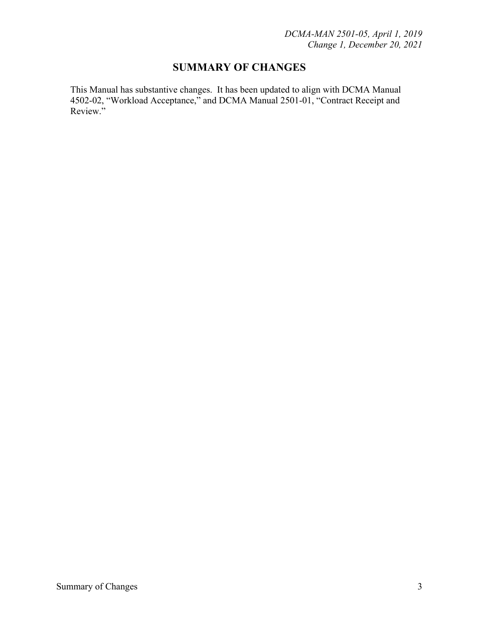## **SUMMARY OF CHANGES**

This Manual has substantive changes. It has been updated to align with DCMA Manual 4502-02, "Workload Acceptance," and DCMA Manual 2501-01, "Contract Receipt and Review."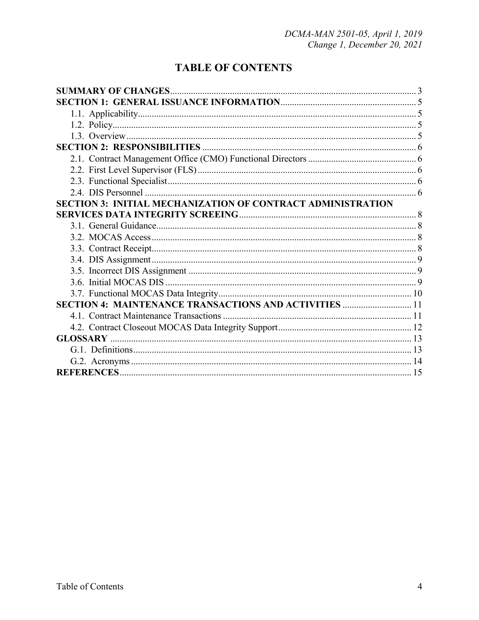## **TABLE OF CONTENTS**

| <b>SECTION 3: INITIAL MECHANIZATION OF CONTRACT ADMINISTRATION</b> |  |
|--------------------------------------------------------------------|--|
|                                                                    |  |
|                                                                    |  |
|                                                                    |  |
|                                                                    |  |
|                                                                    |  |
|                                                                    |  |
|                                                                    |  |
|                                                                    |  |
| <b>SECTION 4: MAINTENANCE TRANSACTIONS AND ACTIVITIES  11</b>      |  |
|                                                                    |  |
|                                                                    |  |
|                                                                    |  |
|                                                                    |  |
|                                                                    |  |
|                                                                    |  |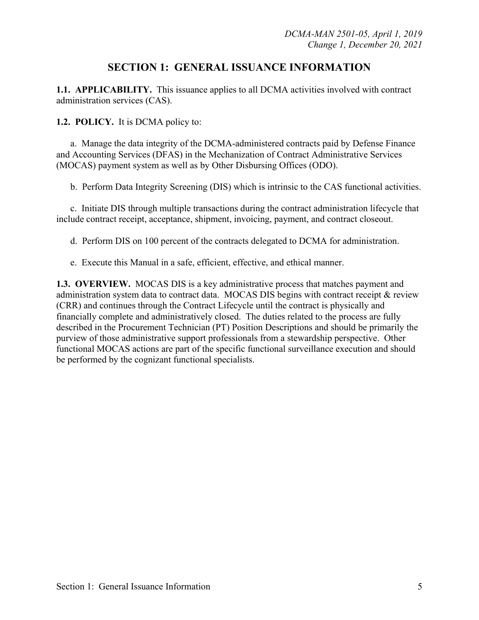## **SECTION 1: GENERAL ISSUANCE INFORMATION**

**1.1. APPLICABILITY.** This issuance applies to all DCMA activities involved with contract administration services (CAS).

#### **1.2. POLICY.** It is DCMA policy to:

 a. Manage the data integrity of the DCMA-administered contracts paid by Defense Finance and Accounting Services (DFAS) in the Mechanization of Contract Administrative Services (MOCAS) payment system as well as by Other Disbursing Offices (ODO).

b. Perform Data Integrity Screening (DIS) which is intrinsic to the CAS functional activities.

c. Initiate DIS through multiple transactions during the contract administration lifecycle that include contract receipt, acceptance, shipment, invoicing, payment, and contract closeout.

d. Perform DIS on 100 percent of the contracts delegated to DCMA for administration.

e. Execute this Manual in a safe, efficient, effective, and ethical manner.

**1.3. OVERVIEW.** MOCAS DIS is a key administrative process that matches payment and administration system data to contract data. MOCAS DIS begins with contract receipt & review (CRR) and continues through the Contract Lifecycle until the contract is physically and financially complete and administratively closed. The duties related to the process are fully described in the Procurement Technician (PT) Position Descriptions and should be primarily the purview of those administrative support professionals from a stewardship perspective. Other functional MOCAS actions are part of the specific functional surveillance execution and should be performed by the cognizant functional specialists.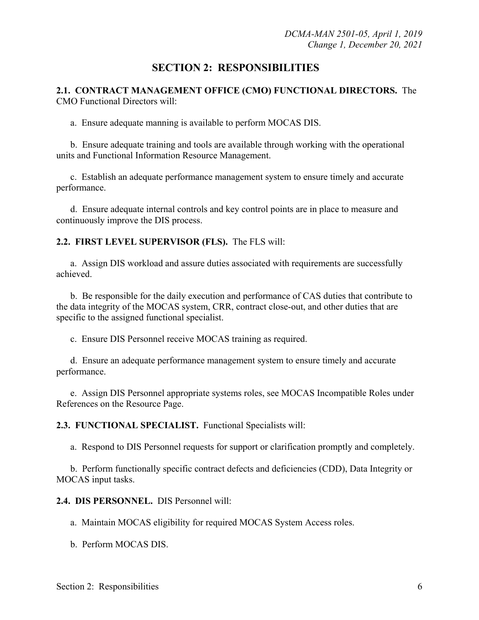### **SECTION 2: RESPONSIBILITIES**

**2.1. CONTRACT MANAGEMENT OFFICE (CMO) FUNCTIONAL DIRECTORS.** The CMO Functional Directors will:

a. Ensure adequate manning is available to perform MOCAS DIS.

 b. Ensure adequate training and tools are available through working with the operational units and Functional Information Resource Management.

c. Establish an adequate performance management system to ensure timely and accurate performance.

 d. Ensure adequate internal controls and key control points are in place to measure and continuously improve the DIS process.

#### **2.2. FIRST LEVEL SUPERVISOR (FLS).** The FLS will:

a. Assign DIS workload and assure duties associated with requirements are successfully achieved.

 b. Be responsible for the daily execution and performance of CAS duties that contribute to the data integrity of the MOCAS system, CRR, contract close-out, and other duties that are specific to the assigned functional specialist.

c. Ensure DIS Personnel receive MOCAS training as required.

 d. Ensure an adequate performance management system to ensure timely and accurate performance.

 e. Assign DIS Personnel appropriate systems roles, see MOCAS Incompatible Roles under References on the Resource Page.

**2.3. FUNCTIONAL SPECIALIST.** Functional Specialists will:

a. Respond to DIS Personnel requests for support or clarification promptly and completely.

 b. Perform functionally specific contract defects and deficiencies (CDD), Data Integrity or MOCAS input tasks.

**2.4. DIS PERSONNEL.** DIS Personnel will:

a. Maintain MOCAS eligibility for required MOCAS System Access roles.

b. Perform MOCAS DIS.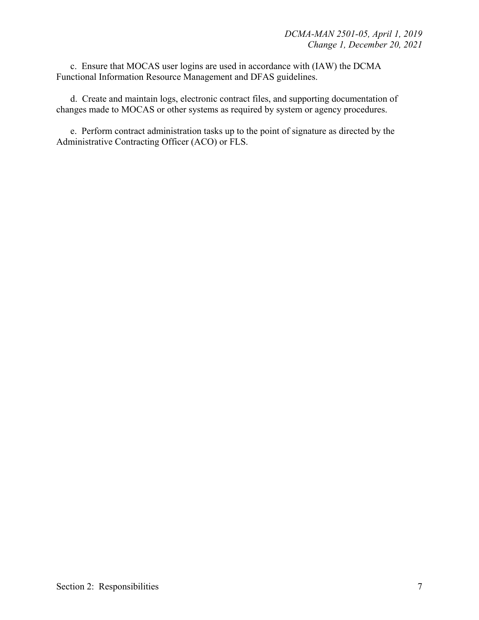c. Ensure that MOCAS user logins are used in accordance with (IAW) the DCMA Functional Information Resource Management and DFAS guidelines.

 d. Create and maintain logs, electronic contract files, and supporting documentation of changes made to MOCAS or other systems as required by system or agency procedures.

 e. Perform contract administration tasks up to the point of signature as directed by the Administrative Contracting Officer (ACO) or FLS.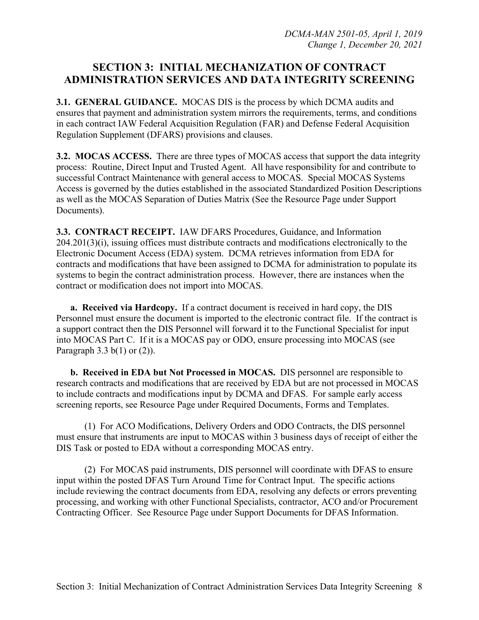## **SECTION 3: INITIAL MECHANIZATION OF CONTRACT ADMINISTRATION SERVICES AND DATA INTEGRITY SCREENING**

**3.1. GENERAL GUIDANCE.** MOCAS DIS is the process by which DCMA audits and ensures that payment and administration system mirrors the requirements, terms, and conditions in each contract IAW Federal Acquisition Regulation (FAR) and Defense Federal Acquisition Regulation Supplement (DFARS) provisions and clauses.

**3.2. MOCAS ACCESS.** There are three types of MOCAS access that support the data integrity process: Routine, Direct Input and Trusted Agent. All have responsibility for and contribute to successful Contract Maintenance with general access to MOCAS. Special MOCAS Systems Access is governed by the duties established in the associated Standardized Position Descriptions as well as the MOCAS Separation of Duties Matrix (See the Resource Page under Support Documents).

**3.3. CONTRACT RECEIPT.** IAW DFARS Procedures, Guidance, and Information 204.201(3)(i), issuing offices must distribute contracts and modifications electronically to the Electronic Document Access (EDA) system. DCMA retrieves information from EDA for contracts and modifications that have been assigned to DCMA for administration to populate its systems to begin the contract administration process. However, there are instances when the contract or modification does not import into MOCAS.

**a. Received via Hardcopy.** If a contract document is received in hard copy, the DIS Personnel must ensure the document is imported to the electronic contract file. If the contract is a support contract then the DIS Personnel will forward it to the Functional Specialist for input into MOCAS Part C. If it is a MOCAS pay or ODO, ensure processing into MOCAS (see Paragraph  $3.3$  b(1) or (2)).

**b. Received in EDA but Not Processed in MOCAS.** DIS personnel are responsible to research contracts and modifications that are received by EDA but are not processed in MOCAS to include contracts and modifications input by DCMA and DFAS. For sample early access screening reports, see Resource Page under Required Documents, Forms and Templates.

 (1) For ACO Modifications, Delivery Orders and ODO Contracts, the DIS personnel must ensure that instruments are input to MOCAS within 3 business days of receipt of either the DIS Task or posted to EDA without a corresponding MOCAS entry.

 (2) For MOCAS paid instruments, DIS personnel will coordinate with DFAS to ensure input within the posted DFAS Turn Around Time for Contract Input. The specific actions include reviewing the contract documents from EDA, resolving any defects or errors preventing processing, and working with other Functional Specialists, contractor, ACO and/or Procurement Contracting Officer. See Resource Page under Support Documents for DFAS Information.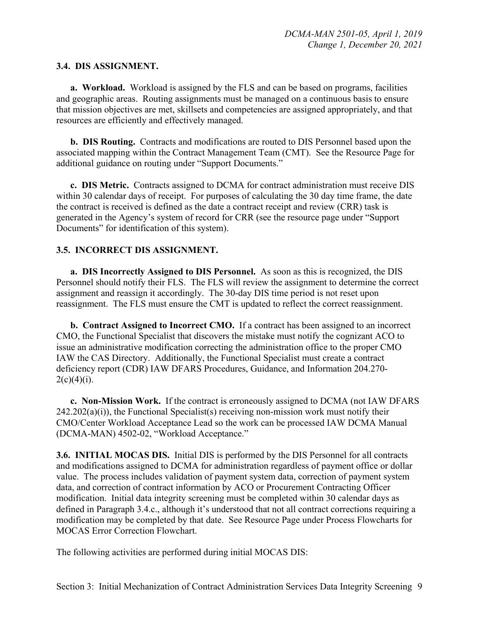#### **3.4. DIS ASSIGNMENT.**

**a. Workload.** Workload is assigned by the FLS and can be based on programs, facilities and geographic areas. Routing assignments must be managed on a continuous basis to ensure that mission objectives are met, skillsets and competencies are assigned appropriately, and that resources are efficiently and effectively managed.

**b. DIS Routing.** Contracts and modifications are routed to DIS Personnel based upon the associated mapping within the Contract Management Team (CMT). See the Resource Page for additional guidance on routing under "Support Documents."

**c. DIS Metric.** Contracts assigned to DCMA for contract administration must receive DIS within 30 calendar days of receipt. For purposes of calculating the 30 day time frame, the date the contract is received is defined as the date a contract receipt and review (CRR) task is generated in the Agency's system of record for CRR (see the resource page under "Support Documents" for identification of this system).

#### **3.5. INCORRECT DIS ASSIGNMENT.**

**a. DIS Incorrectly Assigned to DIS Personnel.** As soon as this is recognized, the DIS Personnel should notify their FLS. The FLS will review the assignment to determine the correct assignment and reassign it accordingly. The 30-day DIS time period is not reset upon reassignment. The FLS must ensure the CMT is updated to reflect the correct reassignment.

**b. Contract Assigned to Incorrect CMO.** If a contract has been assigned to an incorrect CMO, the Functional Specialist that discovers the mistake must notify the cognizant ACO to issue an administrative modification correcting the administration office to the proper CMO IAW the CAS Directory. Additionally, the Functional Specialist must create a contract deficiency report (CDR) IAW DFARS Procedures, Guidance, and Information 204.270-  $2(c)(4)(i)$ .

**c. Non-Mission Work.** If the contract is erroneously assigned to DCMA (not IAW DFARS  $242.202(a)(i)$ , the Functional Specialist(s) receiving non-mission work must notify their CMO/Center Workload Acceptance Lead so the work can be processed IAW DCMA Manual (DCMA-MAN) 4502-02, "Workload Acceptance."

**3.6. INITIAL MOCAS DIS.** Initial DIS is performed by the DIS Personnel for all contracts and modifications assigned to DCMA for administration regardless of payment office or dollar value. The process includes validation of payment system data, correction of payment system data, and correction of contract information by ACO or Procurement Contracting Officer modification. Initial data integrity screening must be completed within 30 calendar days as defined in Paragraph 3.4.c., although it's understood that not all contract corrections requiring a modification may be completed by that date. See Resource Page under Process Flowcharts for MOCAS Error Correction Flowchart.

The following activities are performed during initial MOCAS DIS: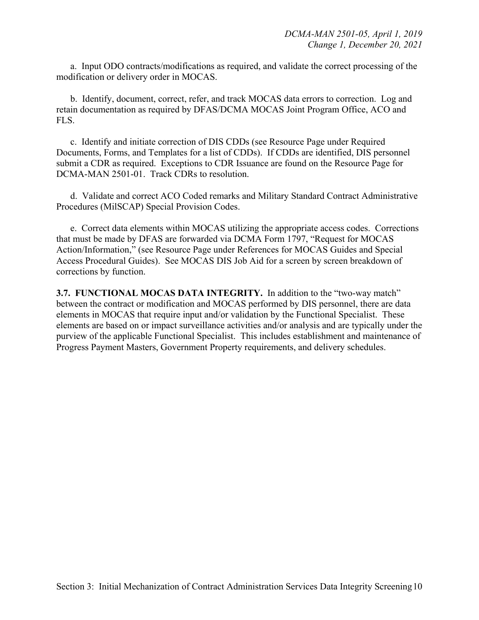a. Input ODO contracts/modifications as required, and validate the correct processing of the modification or delivery order in MOCAS.

 b. Identify, document, correct, refer, and track MOCAS data errors to correction. Log and retain documentation as required by DFAS/DCMA MOCAS Joint Program Office, ACO and FLS.

 c. Identify and initiate correction of DIS CDDs (see Resource Page under Required Documents, Forms, and Templates for a list of CDDs). If CDDs are identified, DIS personnel submit a CDR as required. Exceptions to CDR Issuance are found on the Resource Page for DCMA-MAN 2501-01. Track CDRs to resolution.

 d. Validate and correct ACO Coded remarks and Military Standard Contract Administrative Procedures (MilSCAP) Special Provision Codes.

 e. Correct data elements within MOCAS utilizing the appropriate access codes. Corrections that must be made by DFAS are forwarded via DCMA Form 1797, "Request for MOCAS Action/Information," (see Resource Page under References for MOCAS Guides and Special Access Procedural Guides). See MOCAS DIS Job Aid for a screen by screen breakdown of corrections by function.

**3.7. FUNCTIONAL MOCAS DATA INTEGRITY.** In addition to the "two-way match" between the contract or modification and MOCAS performed by DIS personnel, there are data elements in MOCAS that require input and/or validation by the Functional Specialist. These elements are based on or impact surveillance activities and/or analysis and are typically under the purview of the applicable Functional Specialist. This includes establishment and maintenance of Progress Payment Masters, Government Property requirements, and delivery schedules.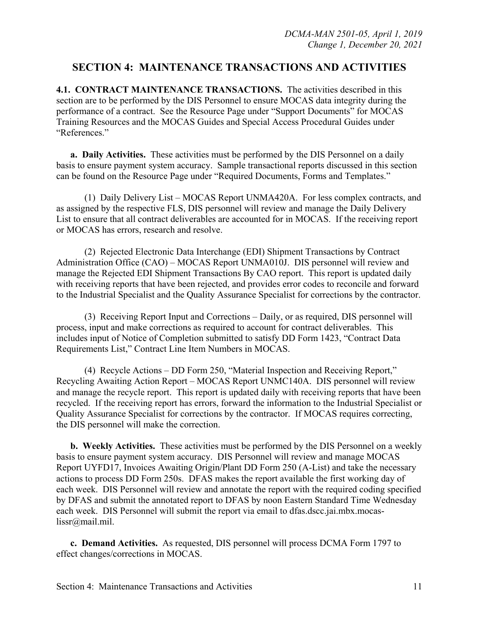### **SECTION 4: MAINTENANCE TRANSACTIONS AND ACTIVITIES**

**4.1. CONTRACT MAINTENANCE TRANSACTIONS.** The activities described in this section are to be performed by the DIS Personnel to ensure MOCAS data integrity during the performance of a contract. See the Resource Page under "Support Documents" for MOCAS Training Resources and the MOCAS Guides and Special Access Procedural Guides under "References."

**a. Daily Activities.** These activities must be performed by the DIS Personnel on a daily basis to ensure payment system accuracy. Sample transactional reports discussed in this section can be found on the Resource Page under "Required Documents, Forms and Templates."

 (1) Daily Delivery List – MOCAS Report UNMA420A. For less complex contracts, and as assigned by the respective FLS, DIS personnel will review and manage the Daily Delivery List to ensure that all contract deliverables are accounted for in MOCAS. If the receiving report or MOCAS has errors, research and resolve.

 (2) Rejected Electronic Data Interchange (EDI) Shipment Transactions by Contract Administration Office (CAO) – MOCAS Report UNMA010J. DIS personnel will review and manage the Rejected EDI Shipment Transactions By CAO report. This report is updated daily with receiving reports that have been rejected, and provides error codes to reconcile and forward to the Industrial Specialist and the Quality Assurance Specialist for corrections by the contractor.

 (3) Receiving Report Input and Corrections – Daily, or as required, DIS personnel will process, input and make corrections as required to account for contract deliverables. This includes input of Notice of Completion submitted to satisfy DD Form 1423, "Contract Data Requirements List," Contract Line Item Numbers in MOCAS.

 (4) Recycle Actions – DD Form 250, "Material Inspection and Receiving Report," Recycling Awaiting Action Report – MOCAS Report UNMC140A. DIS personnel will review and manage the recycle report. This report is updated daily with receiving reports that have been recycled. If the receiving report has errors, forward the information to the Industrial Specialist or Quality Assurance Specialist for corrections by the contractor. If MOCAS requires correcting, the DIS personnel will make the correction.

**b. Weekly Activities.** These activities must be performed by the DIS Personnel on a weekly basis to ensure payment system accuracy. DIS Personnel will review and manage MOCAS Report UYFD17, Invoices Awaiting Origin/Plant DD Form 250 (A-List) and take the necessary actions to process DD Form 250s. DFAS makes the report available the first working day of each week. DIS Personnel will review and annotate the report with the required coding specified by DFAS and submit the annotated report to DFAS by noon Eastern Standard Time Wednesday each week. DIS Personnel will submit the report via email to dfas.dscc.jai.mbx.mocaslissr@mail.mil.

 **c. Demand Activities.** As requested, DIS personnel will process DCMA Form 1797 to effect changes/corrections in MOCAS.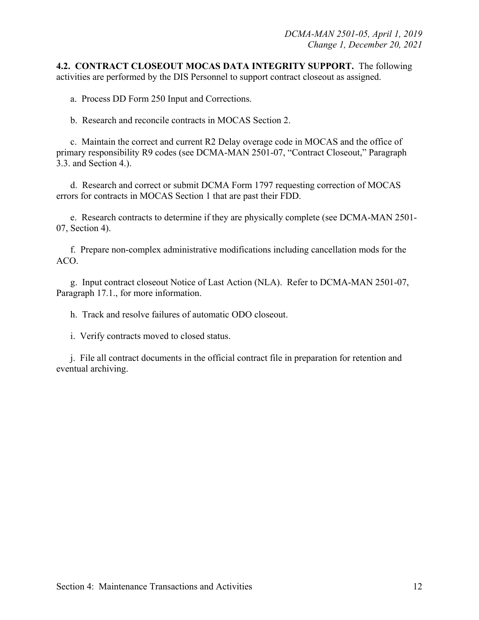**4.2. CONTRACT CLOSEOUT MOCAS DATA INTEGRITY SUPPORT.** The following activities are performed by the DIS Personnel to support contract closeout as assigned.

a. Process DD Form 250 Input and Corrections.

b. Research and reconcile contracts in MOCAS Section 2.

c. Maintain the correct and current R2 Delay overage code in MOCAS and the office of primary responsibility R9 codes (see DCMA-MAN 2501-07, "Contract Closeout," Paragraph 3.3. and Section 4.).

 d. Research and correct or submit DCMA Form 1797 requesting correction of MOCAS errors for contracts in MOCAS Section 1 that are past their FDD.

 e. Research contracts to determine if they are physically complete (see DCMA-MAN 2501- 07, Section 4).

 f. Prepare non-complex administrative modifications including cancellation mods for the ACO.

 g. Input contract closeout Notice of Last Action (NLA). Refer to DCMA-MAN 2501-07, Paragraph 17.1., for more information.

h. Track and resolve failures of automatic ODO closeout.

i. Verify contracts moved to closed status.

 j. File all contract documents in the official contract file in preparation for retention and eventual archiving.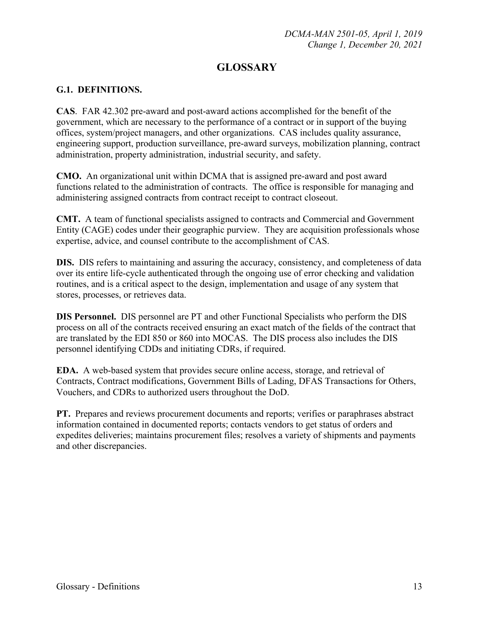## **GLOSSARY**

#### **G.1. DEFINITIONS.**

**CAS**. FAR 42.302 pre-award and post-award actions accomplished for the benefit of the government, which are necessary to the performance of a contract or in support of the buying offices, system/project managers, and other organizations. CAS includes quality assurance, engineering support, production surveillance, pre-award surveys, mobilization planning, contract administration, property administration, industrial security, and safety.

**CMO.** An organizational unit within DCMA that is assigned pre-award and post award functions related to the administration of contracts. The office is responsible for managing and administering assigned contracts from contract receipt to contract closeout.

**CMT.** A team of functional specialists assigned to contracts and Commercial and Government Entity (CAGE) codes under their geographic purview. They are acquisition professionals whose expertise, advice, and counsel contribute to the accomplishment of CAS.

**DIS.** DIS refers to maintaining and assuring the accuracy, consistency, and completeness of data over its entire life-cycle authenticated through the ongoing use of error checking and validation routines, and is a critical aspect to the design, implementation and usage of any system that stores, processes, or retrieves data.

**DIS Personnel.** DIS personnel are PT and other Functional Specialists who perform the DIS process on all of the contracts received ensuring an exact match of the fields of the contract that are translated by the EDI 850 or 860 into MOCAS. The DIS process also includes the DIS personnel identifying CDDs and initiating CDRs, if required.

**EDA.** A web-based system that provides secure online access, storage, and retrieval of Contracts, Contract modifications, Government Bills of Lading, DFAS Transactions for Others, Vouchers, and CDRs to authorized users throughout the DoD.

**PT.** Prepares and reviews procurement documents and reports; verifies or paraphrases abstract information contained in documented reports; contacts vendors to get status of orders and expedites deliveries; maintains procurement files; resolves a variety of shipments and payments and other discrepancies.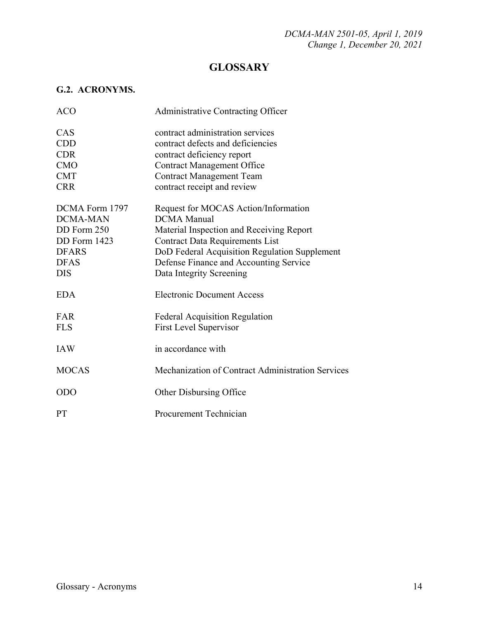## **GLOSSARY**

### **G.2. ACRONYMS.**

| <b>ACO</b>      | Administrative Contracting Officer                |
|-----------------|---------------------------------------------------|
| CAS             | contract administration services                  |
| <b>CDD</b>      | contract defects and deficiencies                 |
| <b>CDR</b>      | contract deficiency report                        |
| <b>CMO</b>      | <b>Contract Management Office</b>                 |
| <b>CMT</b>      | <b>Contract Management Team</b>                   |
| <b>CRR</b>      | contract receipt and review                       |
| DCMA Form 1797  | Request for MOCAS Action/Information              |
| <b>DCMA-MAN</b> | <b>DCMA</b> Manual                                |
| DD Form 250     | Material Inspection and Receiving Report          |
| DD Form 1423    | <b>Contract Data Requirements List</b>            |
| <b>DFARS</b>    | DoD Federal Acquisition Regulation Supplement     |
| <b>DFAS</b>     | Defense Finance and Accounting Service            |
| <b>DIS</b>      | Data Integrity Screening                          |
| <b>EDA</b>      | <b>Electronic Document Access</b>                 |
| FAR             | <b>Federal Acquisition Regulation</b>             |
| <b>FLS</b>      | <b>First Level Supervisor</b>                     |
| <b>IAW</b>      | in accordance with                                |
| <b>MOCAS</b>    | Mechanization of Contract Administration Services |
| <b>ODO</b>      | <b>Other Disbursing Office</b>                    |
| PT              | Procurement Technician                            |